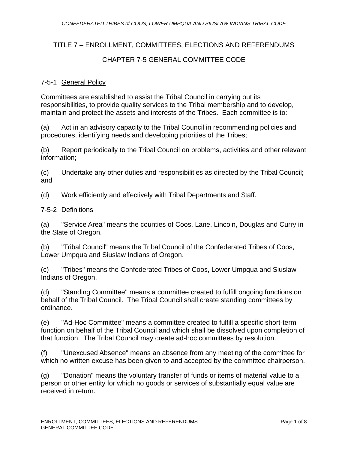# TITLE 7 – ENROLLMENT, COMMITTEES, ELECTIONS AND REFERENDUMS

# CHAPTER 7-5 GENERAL COMMITTEE CODE

# 7-5-1 General Policy

Committees are established to assist the Tribal Council in carrying out its responsibilities, to provide quality services to the Tribal membership and to develop, maintain and protect the assets and interests of the Tribes. Each committee is to:

(a) Act in an advisory capacity to the Tribal Council in recommending policies and procedures, identifying needs and developing priorities of the Tribes;

(b) Report periodically to the Tribal Council on problems, activities and other relevant information;

(c) Undertake any other duties and responsibilities as directed by the Tribal Council; and

(d) Work efficiently and effectively with Tribal Departments and Staff.

#### 7-5-2 Definitions

(a) "Service Area" means the counties of Coos, Lane, Lincoln, Douglas and Curry in the State of Oregon.

(b) "Tribal Council" means the Tribal Council of the Confederated Tribes of Coos, Lower Umpqua and Siuslaw Indians of Oregon.

(c) "Tribes" means the Confederated Tribes of Coos, Lower Umpqua and Siuslaw Indians of Oregon.

(d) "Standing Committee" means a committee created to fulfill ongoing functions on behalf of the Tribal Council. The Tribal Council shall create standing committees by ordinance.

(e) "Ad-Hoc Committee" means a committee created to fulfill a specific short-term function on behalf of the Tribal Council and which shall be dissolved upon completion of that function. The Tribal Council may create ad-hoc committees by resolution.

(f) "Unexcused Absence" means an absence from any meeting of the committee for which no written excuse has been given to and accepted by the committee chairperson.

(g) "Donation" means the voluntary transfer of funds or items of material value to a person or other entity for which no goods or services of substantially equal value are received in return.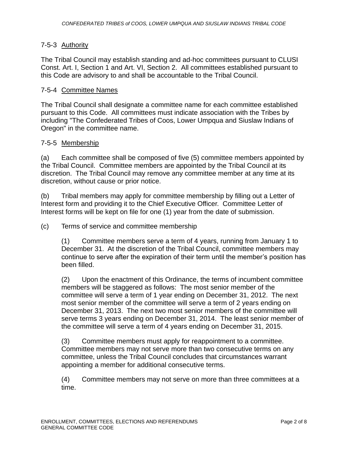# 7-5-3 Authority

The Tribal Council may establish standing and ad-hoc committees pursuant to CLUSI Const. Art. I, Section 1 and Art. VI, Section 2. All committees established pursuant to this Code are advisory to and shall be accountable to the Tribal Council.

#### 7-5-4 Committee Names

The Tribal Council shall designate a committee name for each committee established pursuant to this Code. All committees must indicate association with the Tribes by including "The Confederated Tribes of Coos, Lower Umpqua and Siuslaw Indians of Oregon" in the committee name.

## 7-5-5 Membership

(a) Each committee shall be composed of five (5) committee members appointed by the Tribal Council. Committee members are appointed by the Tribal Council at its discretion. The Tribal Council may remove any committee member at any time at its discretion, without cause or prior notice.

(b) Tribal members may apply for committee membership by filling out a Letter of Interest form and providing it to the Chief Executive Officer. Committee Letter of Interest forms will be kept on file for one (1) year from the date of submission.

(c) Terms of service and committee membership

(1) Committee members serve a term of 4 years, running from January 1 to December 31. At the discretion of the Tribal Council, committee members may continue to serve after the expiration of their term until the member's position has been filled.

(2) Upon the enactment of this Ordinance, the terms of incumbent committee members will be staggered as follows: The most senior member of the committee will serve a term of 1 year ending on December 31, 2012. The next most senior member of the committee will serve a term of 2 years ending on December 31, 2013. The next two most senior members of the committee will serve terms 3 years ending on December 31, 2014. The least senior member of the committee will serve a term of 4 years ending on December 31, 2015.

(3) Committee members must apply for reappointment to a committee. Committee members may not serve more than two consecutive terms on any committee, unless the Tribal Council concludes that circumstances warrant appointing a member for additional consecutive terms.

(4) Committee members may not serve on more than three committees at a time.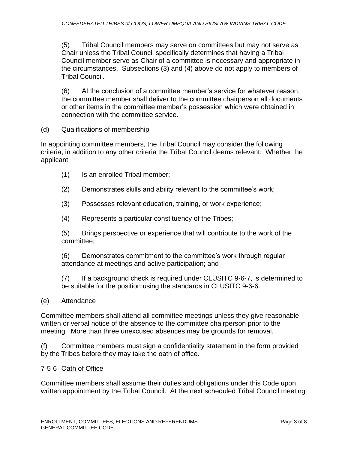(5) Tribal Council members may serve on committees but may not serve as Chair unless the Tribal Council specifically determines that having a Tribal Council member serve as Chair of a committee is necessary and appropriate in the circumstances. Subsections (3) and (4) above do not apply to members of Tribal Council.

(6) At the conclusion of a committee member's service for whatever reason, the committee member shall deliver to the committee chairperson all documents or other items in the committee member's possession which were obtained in connection with the committee service.

#### (d) Qualifications of membership

In appointing committee members, the Tribal Council may consider the following criteria, in addition to any other criteria the Tribal Council deems relevant: Whether the applicant

- (1) Is an enrolled Tribal member;
- (2) Demonstrates skills and ability relevant to the committee's work;
- (3) Possesses relevant education, training, or work experience;
- (4) Represents a particular constituency of the Tribes;

(5) Brings perspective or experience that will contribute to the work of the committee;

(6) Demonstrates commitment to the committee's work through regular attendance at meetings and active participation; and

(7) If a background check is required under CLUSITC 9-6-7, is determined to be suitable for the position using the standards in CLUSITC 9-6-6.

#### (e) Attendance

Committee members shall attend all committee meetings unless they give reasonable written or verbal notice of the absence to the committee chairperson prior to the meeting. More than three unexcused absences may be grounds for removal.

(f) Committee members must sign a confidentiality statement in the form provided by the Tribes before they may take the oath of office.

#### 7-5-6 Oath of Office

Committee members shall assume their duties and obligations under this Code upon written appointment by the Tribal Council. At the next scheduled Tribal Council meeting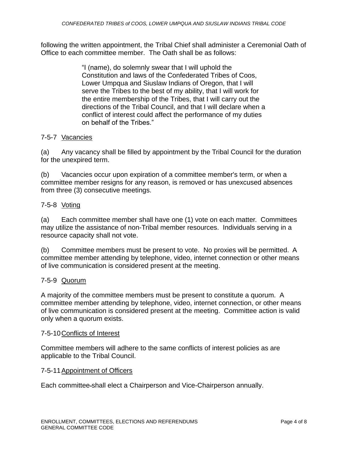following the written appointment, the Tribal Chief shall administer a Ceremonial Oath of Office to each committee member. The Oath shall be as follows:

> "I (name), do solemnly swear that I will uphold the Constitution and laws of the Confederated Tribes of Coos, Lower Umpqua and Siuslaw Indians of Oregon, that I will serve the Tribes to the best of my ability, that I will work for the entire membership of the Tribes, that I will carry out the directions of the Tribal Council, and that I will declare when a conflict of interest could affect the performance of my duties on behalf of the Tribes."

# 7-5-7 Vacancies

(a) Any vacancy shall be filled by appointment by the Tribal Council for the duration for the unexpired term.

(b) Vacancies occur upon expiration of a committee member's term, or when a committee member resigns for any reason, is removed or has unexcused absences from three (3) consecutive meetings.

## 7-5-8 Voting

(a) Each committee member shall have one (1) vote on each matter. Committees may utilize the assistance of non-Tribal member resources. Individuals serving in a resource capacity shall not vote.

(b) Committee members must be present to vote. No proxies will be permitted. A committee member attending by telephone, video, internet connection or other means of live communication is considered present at the meeting.

#### 7-5-9 Quorum

A majority of the committee members must be present to constitute a quorum. A committee member attending by telephone, video, internet connection, or other means of live communication is considered present at the meeting. Committee action is valid only when a quorum exists.

#### 7-5-10Conflicts of Interest

Committee members will adhere to the same conflicts of interest policies as are applicable to the Tribal Council.

#### 7-5-11Appointment of Officers

Each committee shall elect a Chairperson and Vice-Chairperson annually.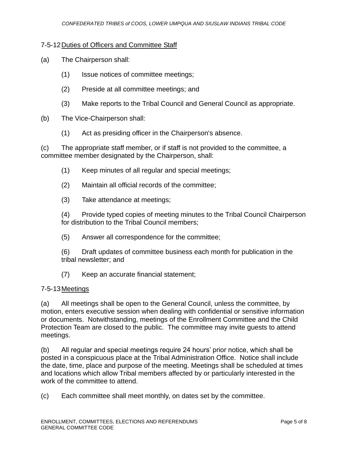## 7-5-12Duties of Officers and Committee Staff

- (a) The Chairperson shall:
	- (1) Issue notices of committee meetings;
	- (2) Preside at all committee meetings; and
	- (3) Make reports to the Tribal Council and General Council as appropriate.
- (b) The Vice-Chairperson shall:
	- (1) Act as presiding officer in the Chairperson's absence.

(c) The appropriate staff member, or if staff is not provided to the committee, a committee member designated by the Chairperson, shall:

- (1) Keep minutes of all regular and special meetings;
- (2) Maintain all official records of the committee;
- (3) Take attendance at meetings;

(4) Provide typed copies of meeting minutes to the Tribal Council Chairperson for distribution to the Tribal Council members;

(5) Answer all correspondence for the committee;

(6) Draft updates of committee business each month for publication in the tribal newsletter; and

(7) Keep an accurate financial statement;

#### 7-5-13Meetings

(a) All meetings shall be open to the General Council, unless the committee, by motion, enters executive session when dealing with confidential or sensitive information or documents. Notwithstanding, meetings of the Enrollment Committee and the Child Protection Team are closed to the public. The committee may invite guests to attend meetings.

(b) All regular and special meetings require 24 hours' prior notice, which shall be posted in a conspicuous place at the Tribal Administration Office. Notice shall include the date, time, place and purpose of the meeting. Meetings shall be scheduled at times and locations which allow Tribal members affected by or particularly interested in the work of the committee to attend.

(c) Each committee shall meet monthly, on dates set by the committee.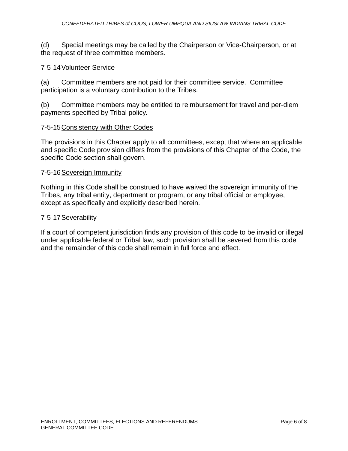(d) Special meetings may be called by the Chairperson or Vice-Chairperson, or at the request of three committee members.

#### 7-5-14Volunteer Service

(a) Committee members are not paid for their committee service. Committee participation is a voluntary contribution to the Tribes.

(b) Committee members may be entitled to reimbursement for travel and per-diem payments specified by Tribal policy.

#### 7-5-15Consistency with Other Codes

The provisions in this Chapter apply to all committees, except that where an applicable and specific Code provision differs from the provisions of this Chapter of the Code, the specific Code section shall govern.

#### 7-5-16Sovereign Immunity

Nothing in this Code shall be construed to have waived the sovereign immunity of the Tribes, any tribal entity, department or program, or any tribal official or employee, except as specifically and explicitly described herein.

#### 7-5-17Severability

If a court of competent jurisdiction finds any provision of this code to be invalid or illegal under applicable federal or Tribal law, such provision shall be severed from this code and the remainder of this code shall remain in full force and effect.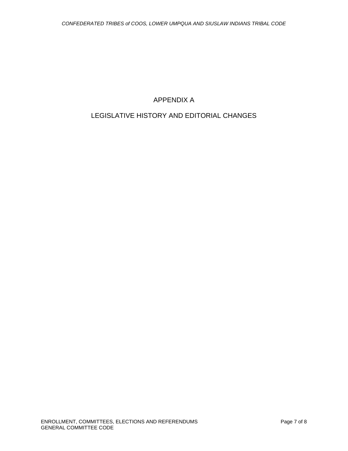# APPENDIX A

# LEGISLATIVE HISTORY AND EDITORIAL CHANGES